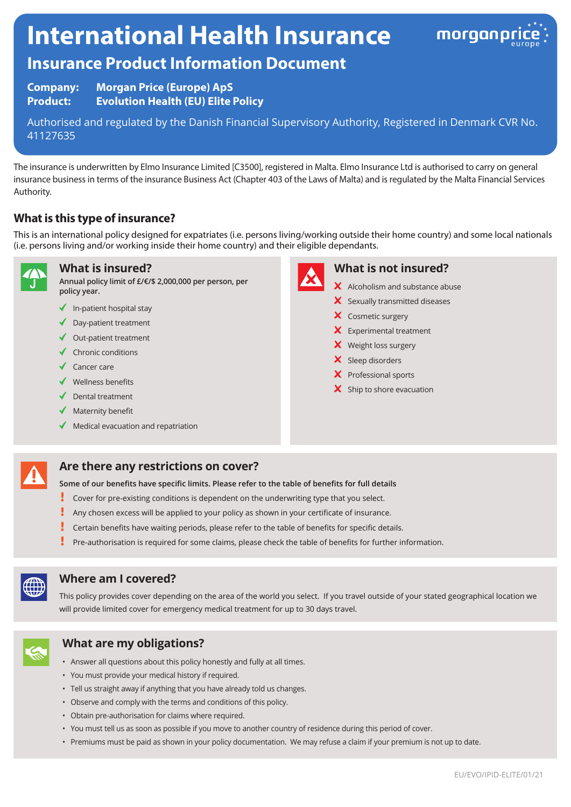# **International Health Insurance**



## **Insurance Product Information Document**

**Company: Morgan Price (Europe) ApS Product: Evolution Health (EU) Elite Policy**

Authorised and regulated by the Danish Financial Supervisory Authority, Registered in Denmark CVR No. 41127635

The insurance is underwritten by Elmo Insurance Limited [C3500], registered in Malta. Elmo Insurance Ltd is authorised to carry on general insurance business in terms of the insurance Business Act (Chapter 403 of the Laws of Malta) and is regulated by the Malta Financial Services Authority.

#### **What is this type of insurance?**

This is an international policy designed for expatriates (i.e. persons living/working outside their home country) and some local nationals (i.e. persons living and/or working inside their home country) and their eligible dependants.



**What is insured?**

**Annual policy limit of £/€/\$ 2,000,000 per person, per policy year.**

- $\blacklozenge$  In-patient hospital stay
- ◆ Day-patient treatment
- $\triangleleft$  Out-patient treatment
- $\checkmark$  Chronic conditions
- ◆ Cancer care
- $\checkmark$  Wellness benefits
- $\sqrt{\phantom{a}}$  Dental treatment
- $\blacklozenge$  Maternity benefit
- $\blacklozenge$  Medical evacuation and repatriation



#### **What is not insured?**

- $\boldsymbol{\times}$  Alcoholism and substance abuse
- $\boldsymbol{\times}$  Sexually transmitted diseases
- X Cosmetic surgery
- **X** Experimental treatment
- X Weight loss surgery
- $\boldsymbol{\times}$  Sleep disorders
- X Professional sports
- $\mathsf{\times}$  Ship to shore evacuation

#### **Are there any restrictions on cover?**

**Some of our benefits have specific limits. Please refer to the table of benefits for full details**

- ŗ Cover for pre-existing conditions is dependent on the underwriting type that you select.
- Ţ Any chosen excess will be applied to your policy as shown in your certificate of insurance.
- ţ Certain benefits have waiting periods, please refer to the table of benefits for specific details.
- Pre-authorisation is required for some claims, please check the table of benefits for further information.



#### **Where am I covered?**

This policy provides cover depending on the area of the world you select. If you travel outside of your stated geographical location we will provide limited cover for emergency medical treatment for up to 30 days travel.



#### **What are my obligations?**

- Answer all questions about this policy honestly and fully at all times.
- You must provide your medical history if required.
- Tell us straight away if anything that you have already told us changes.
- Observe and comply with the terms and conditions of this policy.
- Obtain pre-authorisation for claims where required.
- You must tell us as soon as possible if you move to another country of residence during this period of cover.
- Premiums must be paid as shown in your policy documentation. We may refuse a claim if your premium is not up to date.